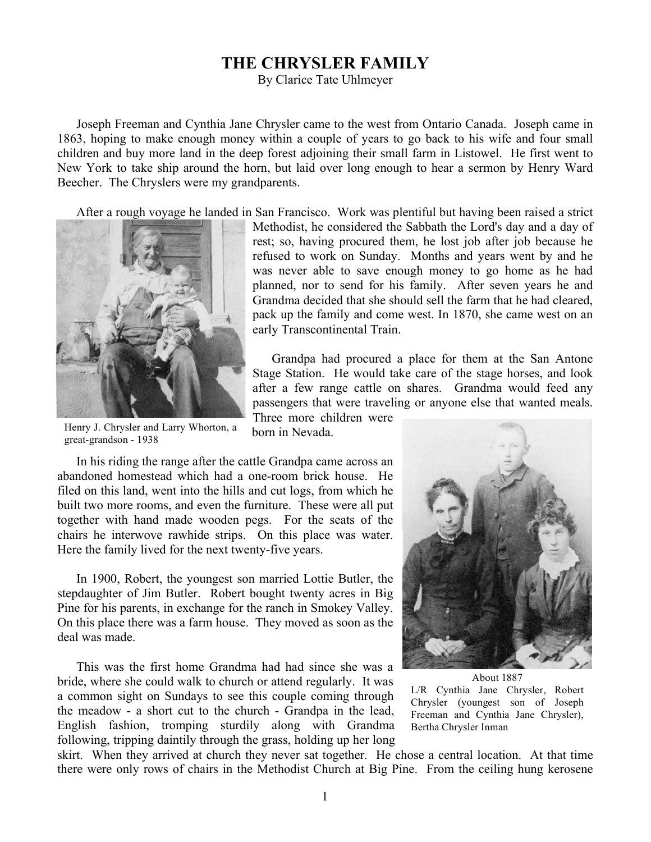## **THE CHRYSLER FAMILY**

By Clarice Tate Uhlmeyer

Joseph Freeman and Cynthia Jane Chrysler came to the west from Ontario Canada. Joseph came in 1863, hoping to make enough money within a couple of years to go back to his wife and four small children and buy more land in the deep forest adjoining their small farm in Listowel. He first went to New York to take ship around the horn, but laid over long enough to hear a sermon by Henry Ward Beecher. The Chryslers were my grandparents.

After a rough voyage he landed in San Francisco. Work was plentiful but having been raised a strict



Methodist, he considered the Sabbath the Lord's day and a day of rest; so, having procured them, he lost job after job because he refused to work on Sunday. Months and years went by and he was never able to save enough money to go home as he had planned, nor to send for his family. After seven years he and Grandma decided that she should sell the farm that he had cleared, pack up the family and come west. In 1870, she came west on an early Transcontinental Train.

Grandpa had procured a place for them at the San Antone Stage Station. He would take care of the stage horses, and look after a few range cattle on shares. Grandma would feed any passengers that were traveling or anyone else that wanted meals. Three more children were

Henry J. Chrysler and Larry Whorton, a great-grandson - 1938

born in Nevada.

In his riding the range after the cattle Grandpa came across an abandoned homestead which had a one-room brick house. He filed on this land, went into the hills and cut logs, from which he built two more rooms, and even the furniture. These were all put together with hand made wooden pegs. For the seats of the chairs he interwove rawhide strips. On this place was water. Here the family lived for the next twenty-five years.

In 1900, Robert, the youngest son married Lottie Butler, the stepdaughter of Jim Butler. Robert bought twenty acres in Big Pine for his parents, in exchange for the ranch in Smokey Valley. On this place there was a farm house. They moved as soon as the deal was made.

This was the first home Grandma had had since she was a bride, where she could walk to church or attend regularly. It was a common sight on Sundays to see this couple coming through the meadow - a short cut to the church - Grandpa in the lead, English fashion, tromping sturdily along with Grandma following, tripping daintily through the grass, holding up her long



About 1887 L/R Cynthia Jane Chrysler, Robert Chrysler (youngest son of Joseph Freeman and Cynthia Jane Chrysler), Bertha Chrysler Inman

skirt. When they arrived at church they never sat together. He chose a central location. At that time there were only rows of chairs in the Methodist Church at Big Pine. From the ceiling hung kerosene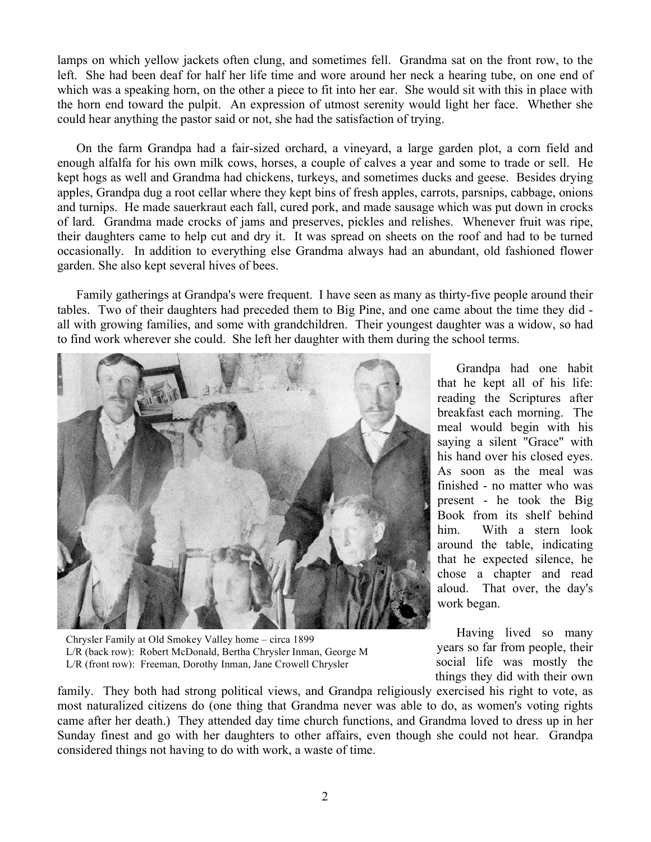lamps on which yellow jackets often clung, and sometimes fell. Grandma sat on the front row, to the left. She had been deaf for half her life time and wore around her neck a hearing tube, on one end of which was a speaking horn, on the other a piece to fit into her ear. She would sit with this in place with the horn end toward the pulpit. An expression of utmost serenity would light her face. Whether she could hear anything the pastor said or not, she had the satisfaction of trying.

On the farm Grandpa had a fair-sized orchard, a vineyard, a large garden plot, a corn field and enough alfalfa for his own milk cows, horses, a couple of calves a year and some to trade or sell. He kept hogs as well and Grandma had chickens, turkeys, and sometimes ducks and geese. Besides drying apples, Grandpa dug a root cellar where they kept bins of fresh apples, carrots, parsnips, cabbage, onions and turnips. He made sauerkraut each fall, cured pork, and made sausage which was put down in crocks of lard. Grandma made crocks of jams and preserves, pickles and relishes. Whenever fruit was ripe, their daughters came to help cut and dry it. It was spread on sheets on the roof and had to be turned occasionally. In addition to everything else Grandma always had an abundant, old fashioned flower garden. She also kept several hives of bees.

Family gatherings at Grandpa's were frequent. I have seen as many as thirty-five people around their tables. Two of their daughters had preceded them to Big Pine, and one came about the time they did all with growing families, and some with grandchildren. Their youngest daughter was a widow, so had to find work wherever she could. She left her daughter with them during the school terms.



Chrysler Family at Old Smokey Valley home – circa 1899 L/R (back row): Robert McDonald, Bertha Chrysler Inman, George M L/R (front row): Freeman, Dorothy Inman, Jane Crowell Chrysler

Grandpa had one habit that he kept all of his life: reading the Scriptures after breakfast each morning. The meal would begin with his saying a silent "Grace" with his hand over his closed eyes. As soon as the meal was finished - no matter who was present - he took the Big Book from its shelf behind him. With a stern look around the table, indicating that he expected silence, he chose a chapter and read aloud. That over, the day's work began.

Having lived so many years so far from people, their social life was mostly the things they did with their own

family. They both had strong political views, and Grandpa religiously exercised his right to vote, as most naturalized citizens do (one thing that Grandma never was able to do, as women's voting rights came after her death.) They attended day time church functions, and Grandma loved to dress up in her Sunday finest and go with her daughters to other affairs, even though she could not hear. Grandpa considered things not having to do with work, a waste of time.